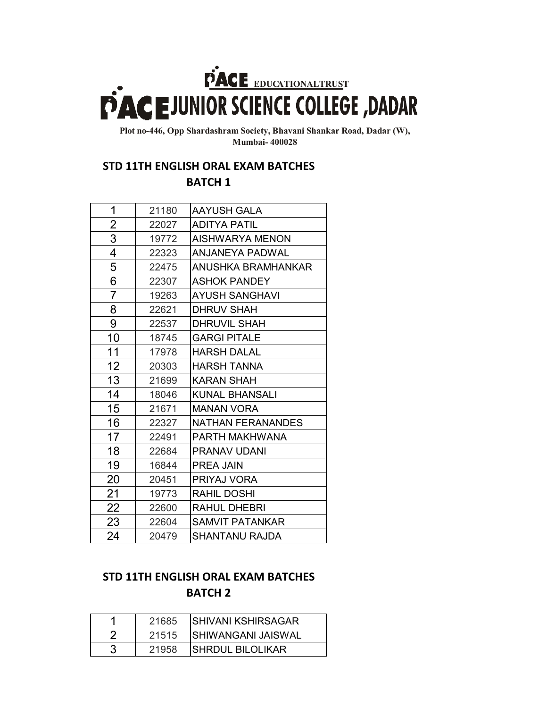## **EXAGE EDUCATIONALTRUST**<br>**EDUCATION SCIENCE COLLEGE** ,DADAR

**Plot no-446, Opp Shardashram Society, Bhavani Shankar Road, Dadar (W), Mumbai- 400028**

## **STD 11TH ENGLISH ORAL EXAM BATCHES**

**BATCH 1**

| 1  | 21180 | <b>AAYUSH GALA</b>     |
|----|-------|------------------------|
| 2  | 22027 | <b>ADITYA PATIL</b>    |
| 3  | 19772 | AISHWARYA MENON        |
| 4  | 22323 | ANJANEYA PADWAL        |
| 5  | 22475 | ANUSHKA BRAMHANKAR     |
| 6  | 22307 | <b>ASHOK PANDEY</b>    |
| 7  | 19263 | <b>AYUSH SANGHAVI</b>  |
| 8  | 22621 | DHRUV SHAH             |
| 9  | 22537 | DHRUVIL SHAH           |
| 10 | 18745 | <b>GARGI PITALE</b>    |
| 11 | 17978 | <b>HARSH DALAL</b>     |
| 12 | 20303 | <b>HARSH TANNA</b>     |
| 13 | 21699 | <b>KARAN SHAH</b>      |
| 14 | 18046 | KUNAL BHANSALI         |
| 15 | 21671 | <b>MANAN VORA</b>      |
| 16 | 22327 | NATHAN FERANANDES      |
| 17 | 22491 | PARTH MAKHWANA         |
| 18 | 22684 | PRANAV UDANI           |
| 19 | 16844 | PREA JAIN              |
| 20 | 20451 | PRIYAJ VORA            |
| 21 | 19773 | RAHIL DOSHI            |
| 22 | 22600 | RAHUL DHEBRI           |
| 23 | 22604 | <b>SAMVIT PATANKAR</b> |
| 24 | 20479 | SHANTANU RAJDA         |

## **STD 11TH ENGLISH ORAL EXAM BATCHES BATCH 2**

| 21685 | <b>SHIVANI KSHIRSAGAR</b> |
|-------|---------------------------|
| 21515 | <b>SHIWANGANI JAISWAL</b> |
| 21958 | SHRDUL BILOLIKAR          |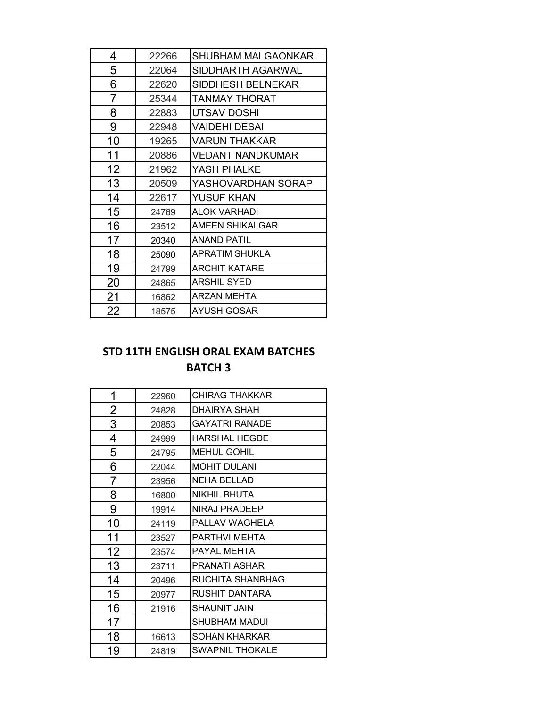| 4  | 22266 | SHUBHAM MALGAONKAR      |
|----|-------|-------------------------|
| 5  | 22064 | SIDDHARTH AGARWAL       |
| 6  | 22620 | SIDDHESH BELNEKAR       |
| 7  | 25344 | <b>TANMAY THORAT</b>    |
| 8  | 22883 | UTSAV DOSHI             |
| 9  | 22948 | <b>VAIDEHI DESAI</b>    |
| 10 | 19265 | <b>VARUN THAKKAR</b>    |
| 11 | 20886 | <b>VEDANT NANDKUMAR</b> |
| 12 | 21962 | YASH PHALKE             |
| 13 | 20509 | YASHOVARDHAN SORAP      |
| 14 | 22617 | YUSUF KHAN              |
| 15 | 24769 | <b>ALOK VARHADI</b>     |
| 16 | 23512 | AMEEN SHIKALGAR         |
| 17 | 20340 | <b>ANAND PATIL</b>      |
| 18 | 25090 | <b>APRATIM SHUKLA</b>   |
| 19 | 24799 | <b>ARCHIT KATARE</b>    |
| 20 | 24865 | <b>ARSHIL SYED</b>      |
| 21 | 16862 | <b>ARZAN MEHTA</b>      |
| 22 | 18575 | <b>AYUSH GOSAR</b>      |

## **BATCH 3 STD 11TH ENGLISH ORAL EXAM BATCHES**

| 1              | 22960 | <b>CHIRAG THAKKAR</b>   |
|----------------|-------|-------------------------|
| $\overline{2}$ | 24828 | DHAIRYA SHAH            |
| 3              | 20853 | <b>GAYATRI RANADE</b>   |
| 4              | 24999 | <b>HARSHAL HEGDE</b>    |
| 5              | 24795 | MEHUL GOHIL             |
| 6              | 22044 | <b>MOHIT DULANI</b>     |
| 7              | 23956 | <b>NEHA BELLAD</b>      |
| 8              | 16800 | NIKHIL BHUTA            |
| 9              | 19914 | NIRAJ PRADEEP           |
| 10             | 24119 | PALLAV WAGHELA          |
| 11             | 23527 | PARTHVI MEHTA           |
| 12             | 23574 | PAYAL MEHTA             |
| 13             | 23711 | PRANATI ASHAR           |
| 14             | 20496 | <b>RUCHITA SHANBHAG</b> |
| 15             | 20977 | <b>RUSHIT DANTARA</b>   |
| 16             | 21916 | <b>SHAUNIT JAIN</b>     |
| 17             |       | SHUBHAM MADUI           |
| 18             | 16613 | <b>SOHAN KHARKAR</b>    |
| 19             | 24819 | <b>SWAPNIL THOKALE</b>  |